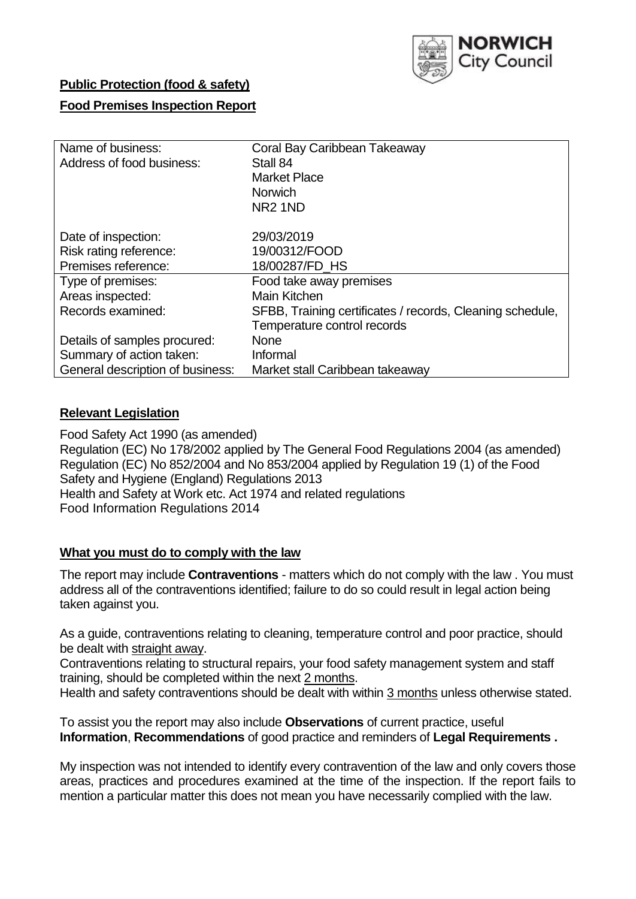

## **Public Protection (food & safety)**

## **Food Premises Inspection Report**

| Name of business:                | Coral Bay Caribbean Takeaway                              |
|----------------------------------|-----------------------------------------------------------|
| Address of food business:        | Stall 84                                                  |
|                                  | <b>Market Place</b>                                       |
|                                  | <b>Norwich</b>                                            |
|                                  | NR <sub>2</sub> 1ND                                       |
|                                  |                                                           |
| Date of inspection:              | 29/03/2019                                                |
| Risk rating reference:           | 19/00312/FOOD                                             |
| Premises reference:              | 18/00287/FD HS                                            |
| Type of premises:                | Food take away premises                                   |
| Areas inspected:                 | <b>Main Kitchen</b>                                       |
| Records examined:                | SFBB, Training certificates / records, Cleaning schedule, |
|                                  | Temperature control records                               |
| Details of samples procured:     | <b>None</b>                                               |
| Summary of action taken:         | Informal                                                  |
| General description of business: | Market stall Caribbean takeaway                           |

### **Relevant Legislation**

Food Safety Act 1990 (as amended) Regulation (EC) No 178/2002 applied by The General Food Regulations 2004 (as amended) Regulation (EC) No 852/2004 and No 853/2004 applied by Regulation 19 (1) of the Food Safety and Hygiene (England) Regulations 2013 Health and Safety at Work etc. Act 1974 and related regulations Food Information Regulations 2014

#### **What you must do to comply with the law**

The report may include **Contraventions** - matters which do not comply with the law . You must address all of the contraventions identified; failure to do so could result in legal action being taken against you.

As a guide, contraventions relating to cleaning, temperature control and poor practice, should be dealt with straight away.

Contraventions relating to structural repairs, your food safety management system and staff training, should be completed within the next 2 months.

Health and safety contraventions should be dealt with within 3 months unless otherwise stated.

To assist you the report may also include **Observations** of current practice, useful **Information**, **Recommendations** of good practice and reminders of **Legal Requirements .**

My inspection was not intended to identify every contravention of the law and only covers those areas, practices and procedures examined at the time of the inspection. If the report fails to mention a particular matter this does not mean you have necessarily complied with the law.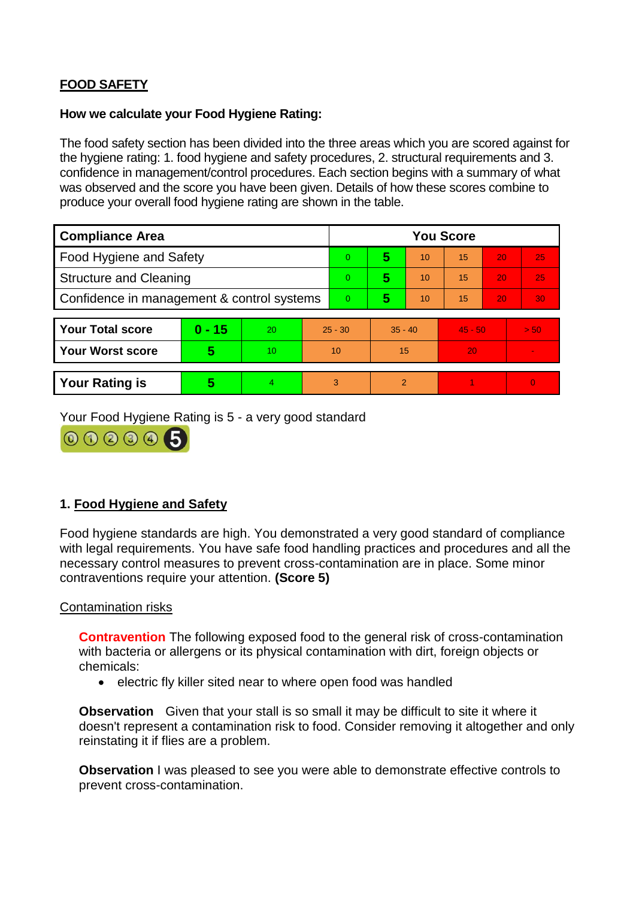# **FOOD SAFETY**

## **How we calculate your Food Hygiene Rating:**

The food safety section has been divided into the three areas which you are scored against for the hygiene rating: 1. food hygiene and safety procedures, 2. structural requirements and 3. confidence in management/control procedures. Each section begins with a summary of what was observed and the score you have been given. Details of how these scores combine to produce your overall food hygiene rating are shown in the table.

| <b>Compliance Area</b>                     |          |    |                | <b>You Score</b> |           |                |           |    |                |  |  |
|--------------------------------------------|----------|----|----------------|------------------|-----------|----------------|-----------|----|----------------|--|--|
| Food Hygiene and Safety                    |          |    | $\Omega$       | 5                | 10        | 15             | 20        | 25 |                |  |  |
| <b>Structure and Cleaning</b>              |          |    | $\overline{0}$ | 5                | 10        | 15             | 20        | 25 |                |  |  |
| Confidence in management & control systems |          |    | $\Omega$       | 5                | 10        | 15             | 20        | 30 |                |  |  |
|                                            |          |    |                |                  |           |                |           |    |                |  |  |
| <b>Your Total score</b>                    | $0 - 15$ | 20 | $25 - 30$      |                  | $35 - 40$ |                | $45 - 50$ |    | > 50           |  |  |
| <b>Your Worst score</b>                    | 5        | 10 | 10             |                  | 15        |                | 20        |    | $\blacksquare$ |  |  |
|                                            |          |    |                |                  |           |                |           |    |                |  |  |
| <b>Your Rating is</b>                      | 5        | 4  |                | 3                |           | $\overline{2}$ |           |    | $\Omega$       |  |  |

Your Food Hygiene Rating is 5 - a very good standard



## **1. Food Hygiene and Safety**

Food hygiene standards are high. You demonstrated a very good standard of compliance with legal requirements. You have safe food handling practices and procedures and all the necessary control measures to prevent cross-contamination are in place. Some minor contraventions require your attention. **(Score 5)**

Contamination risks

**Contravention** The following exposed food to the general risk of cross-contamination with bacteria or allergens or its physical contamination with dirt, foreign objects or chemicals:

• electric fly killer sited near to where open food was handled

**Observation** Given that your stall is so small it may be difficult to site it where it doesn't represent a contamination risk to food. Consider removing it altogether and only reinstating it if flies are a problem.

**Observation** I was pleased to see you were able to demonstrate effective controls to prevent cross-contamination.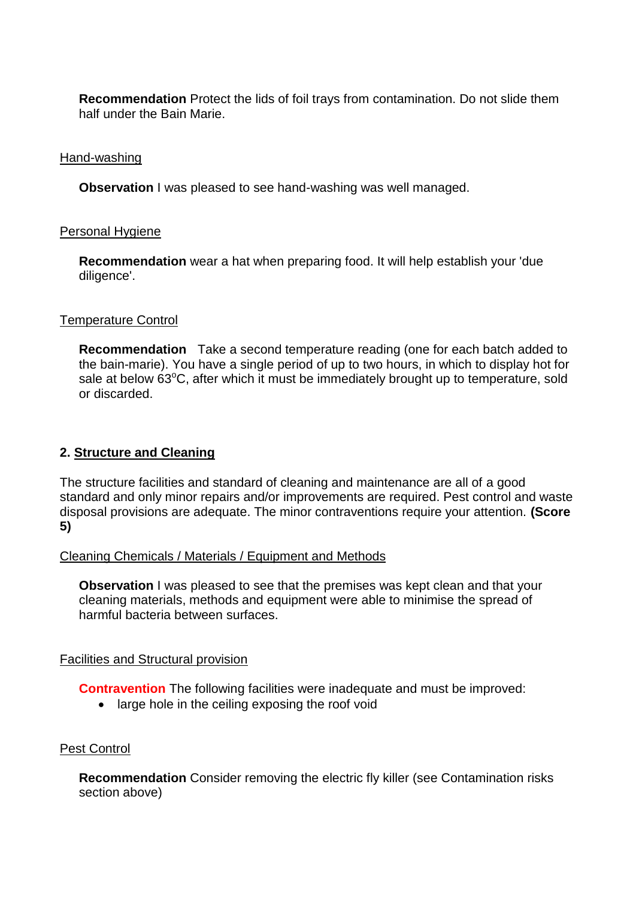**Recommendation** Protect the lids of foil trays from contamination. Do not slide them half under the Bain Marie.

## Hand-washing

**Observation** I was pleased to see hand-washing was well managed.

### Personal Hygiene

**Recommendation** wear a hat when preparing food. It will help establish your 'due diligence'.

### Temperature Control

**Recommendation** Take a second temperature reading (one for each batch added to the bain-marie). You have a single period of up to two hours, in which to display hot for sale at below  $63^{\circ}$ C, after which it must be immediately brought up to temperature, sold or discarded.

## **2. Structure and Cleaning**

The structure facilities and standard of cleaning and maintenance are all of a good standard and only minor repairs and/or improvements are required. Pest control and waste disposal provisions are adequate. The minor contraventions require your attention. **(Score 5)**

#### Cleaning Chemicals / Materials / Equipment and Methods

**Observation I** was pleased to see that the premises was kept clean and that your cleaning materials, methods and equipment were able to minimise the spread of harmful bacteria between surfaces.

## Facilities and Structural provision

**Contravention** The following facilities were inadequate and must be improved:

• large hole in the ceiling exposing the roof void

#### Pest Control

**Recommendation** Consider removing the electric fly killer (see Contamination risks section above)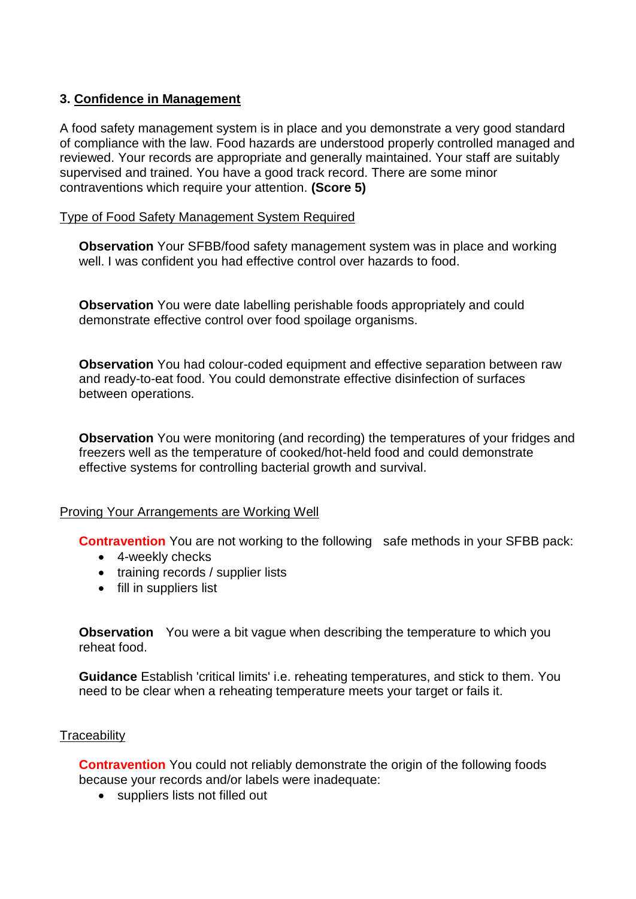## **3. Confidence in Management**

A food safety management system is in place and you demonstrate a very good standard of compliance with the law. Food hazards are understood properly controlled managed and reviewed. Your records are appropriate and generally maintained. Your staff are suitably supervised and trained. You have a good track record. There are some minor contraventions which require your attention. **(Score 5)**

## Type of Food Safety Management System Required

**Observation** Your SFBB/food safety management system was in place and working well. I was confident you had effective control over hazards to food.

**Observation** You were date labelling perishable foods appropriately and could demonstrate effective control over food spoilage organisms.

**Observation** You had colour-coded equipment and effective separation between raw and ready-to-eat food. You could demonstrate effective disinfection of surfaces between operations.

**Observation** You were monitoring (and recording) the temperatures of your fridges and freezers well as the temperature of cooked/hot-held food and could demonstrate effective systems for controlling bacterial growth and survival.

## Proving Your Arrangements are Working Well

**Contravention** You are not working to the following safe methods in your SFBB pack:

- 4-weekly checks
- training records / supplier lists
- fill in suppliers list

**Observation** You were a bit vague when describing the temperature to which you reheat food.

**Guidance** Establish 'critical limits' i.e. reheating temperatures, and stick to them. You need to be clear when a reheating temperature meets your target or fails it.

#### **Traceability**

**Contravention** You could not reliably demonstrate the origin of the following foods because your records and/or labels were inadequate:

• suppliers lists not filled out